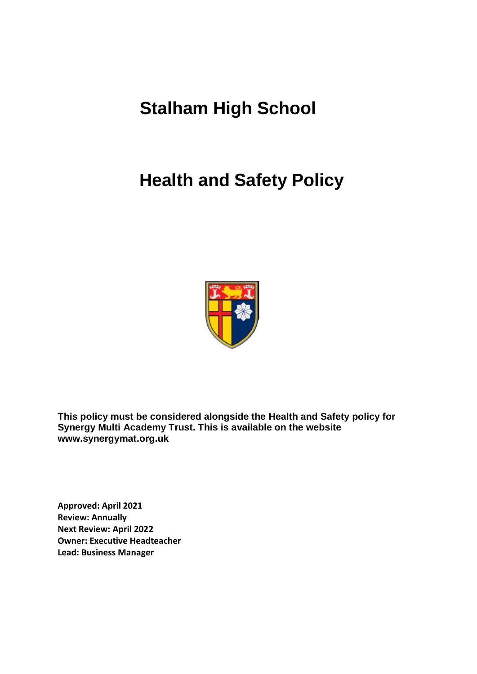# **Stalham High School**

# **Health and Safety Policy**



**This policy must be considered alongside the Health and Safety policy for Synergy Multi Academy Trust. This is available on the website www.synergymat.org.uk**

**Approved: April 2021 Review: Annually Next Review: April 2022 Owner: Executive Headteacher Lead: Business Manager**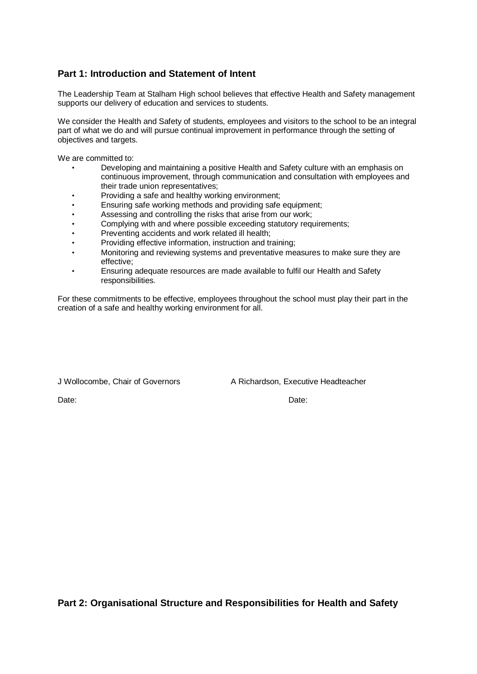## **Part 1: Introduction and Statement of Intent**

The Leadership Team at Stalham High school believes that effective Health and Safety management supports our delivery of education and services to students.

We consider the Health and Safety of students, employees and visitors to the school to be an integral part of what we do and will pursue continual improvement in performance through the setting of objectives and targets.

We are committed to:

- Developing and maintaining a positive Health and Safety culture with an emphasis on continuous improvement, through communication and consultation with employees and their trade union representatives;
- Providing a safe and healthy working environment;
- Ensuring safe working methods and providing safe equipment;
- Assessing and controlling the risks that arise from our work;
- Complying with and where possible exceeding statutory requirements;
- Preventing accidents and work related ill health;
- Providing effective information, instruction and training;
- Monitoring and reviewing systems and preventative measures to make sure they are effective;
- Ensuring adequate resources are made available to fulfil our Health and Safety responsibilities.

For these commitments to be effective, employees throughout the school must play their part in the creation of a safe and healthy working environment for all.

J Wollocombe, Chair of Governors A Richardson, Executive Headteacher

Date: **Date:** Date: **Date: Date: Date: Date: Date: Date: Date: Date: Date: Date: Date: Date: Date: Date: Date: Date: Date: Date: Date: Date: Date: Date: Date: Date: Date: D** 

**Part 2: Organisational Structure and Responsibilities for Health and Safety**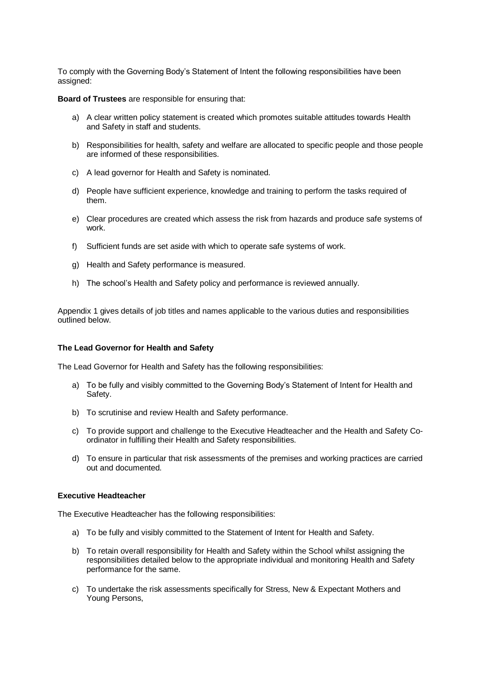To comply with the Governing Body's Statement of Intent the following responsibilities have been assigned:

**Board of Trustees** are responsible for ensuring that:

- a) A clear written policy statement is created which promotes suitable attitudes towards Health and Safety in staff and students.
- b) Responsibilities for health, safety and welfare are allocated to specific people and those people are informed of these responsibilities.
- c) A lead governor for Health and Safety is nominated.
- d) People have sufficient experience, knowledge and training to perform the tasks required of them.
- e) Clear procedures are created which assess the risk from hazards and produce safe systems of work.
- f) Sufficient funds are set aside with which to operate safe systems of work.
- g) Health and Safety performance is measured.
- h) The school's Health and Safety policy and performance is reviewed annually.

Appendix 1 gives details of job titles and names applicable to the various duties and responsibilities outlined below.

#### **The Lead Governor for Health and Safety**

The Lead Governor for Health and Safety has the following responsibilities:

- a) To be fully and visibly committed to the Governing Body's Statement of Intent for Health and Safety.
- b) To scrutinise and review Health and Safety performance.
- c) To provide support and challenge to the Executive Headteacher and the Health and Safety Coordinator in fulfilling their Health and Safety responsibilities.
- d) To ensure in particular that risk assessments of the premises and working practices are carried out and documented.

#### **Executive Headteacher**

The Executive Headteacher has the following responsibilities:

- a) To be fully and visibly committed to the Statement of Intent for Health and Safety.
- b) To retain overall responsibility for Health and Safety within the School whilst assigning the responsibilities detailed below to the appropriate individual and monitoring Health and Safety performance for the same.
- c) To undertake the risk assessments specifically for Stress, New & Expectant Mothers and Young Persons,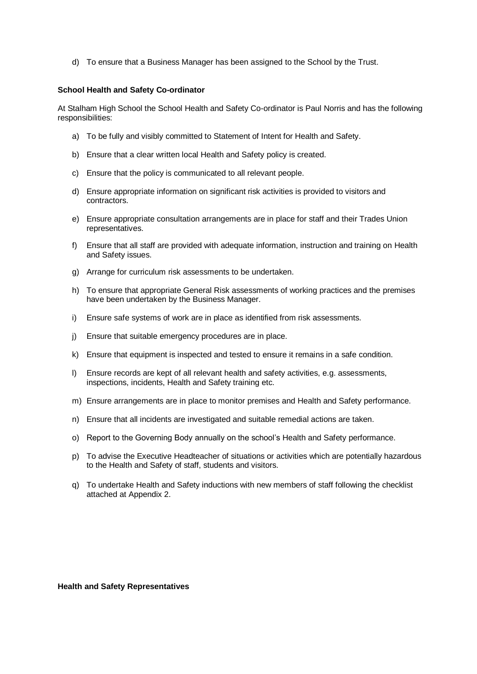d) To ensure that a Business Manager has been assigned to the School by the Trust.

#### **School Health and Safety Co-ordinator**

At Stalham High School the School Health and Safety Co-ordinator is Paul Norris and has the following responsibilities:

- a) To be fully and visibly committed to Statement of Intent for Health and Safety.
- b) Ensure that a clear written local Health and Safety policy is created.
- c) Ensure that the policy is communicated to all relevant people.
- d) Ensure appropriate information on significant risk activities is provided to visitors and contractors.
- e) Ensure appropriate consultation arrangements are in place for staff and their Trades Union representatives.
- f) Ensure that all staff are provided with adequate information, instruction and training on Health and Safety issues.
- g) Arrange for curriculum risk assessments to be undertaken.
- h) To ensure that appropriate General Risk assessments of working practices and the premises have been undertaken by the Business Manager.
- i) Ensure safe systems of work are in place as identified from risk assessments.
- j) Ensure that suitable emergency procedures are in place.
- k) Ensure that equipment is inspected and tested to ensure it remains in a safe condition.
- l) Ensure records are kept of all relevant health and safety activities, e.g. assessments, inspections, incidents, Health and Safety training etc.
- m) Ensure arrangements are in place to monitor premises and Health and Safety performance.
- n) Ensure that all incidents are investigated and suitable remedial actions are taken.
- o) Report to the Governing Body annually on the school's Health and Safety performance.
- p) To advise the Executive Headteacher of situations or activities which are potentially hazardous to the Health and Safety of staff, students and visitors.
- q) To undertake Health and Safety inductions with new members of staff following the checklist attached at Appendix 2.

**Health and Safety Representatives**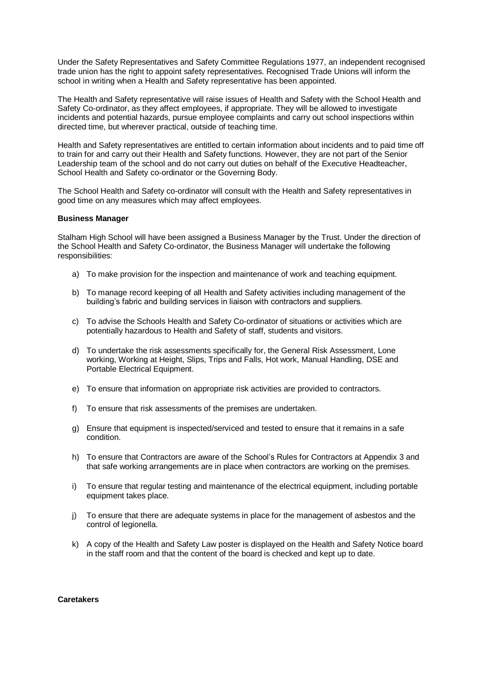Under the Safety Representatives and Safety Committee Regulations 1977, an independent recognised trade union has the right to appoint safety representatives. Recognised Trade Unions will inform the school in writing when a Health and Safety representative has been appointed.

The Health and Safety representative will raise issues of Health and Safety with the School Health and Safety Co-ordinator, as they affect employees, if appropriate. They will be allowed to investigate incidents and potential hazards, pursue employee complaints and carry out school inspections within directed time, but wherever practical, outside of teaching time.

Health and Safety representatives are entitled to certain information about incidents and to paid time off to train for and carry out their Health and Safety functions. However, they are not part of the Senior Leadership team of the school and do not carry out duties on behalf of the Executive Headteacher, School Health and Safety co-ordinator or the Governing Body.

The School Health and Safety co-ordinator will consult with the Health and Safety representatives in good time on any measures which may affect employees.

#### **Business Manager**

Stalham High School will have been assigned a Business Manager by the Trust. Under the direction of the School Health and Safety Co-ordinator, the Business Manager will undertake the following responsibilities:

- a) To make provision for the inspection and maintenance of work and teaching equipment.
- b) To manage record keeping of all Health and Safety activities including management of the building's fabric and building services in liaison with contractors and suppliers.
- c) To advise the Schools Health and Safety Co-ordinator of situations or activities which are potentially hazardous to Health and Safety of staff, students and visitors.
- d) To undertake the risk assessments specifically for, the General Risk Assessment, Lone working, Working at Height, Slips, Trips and Falls, Hot work, Manual Handling, DSE and Portable Electrical Equipment.
- e) To ensure that information on appropriate risk activities are provided to contractors.
- f) To ensure that risk assessments of the premises are undertaken.
- g) Ensure that equipment is inspected/serviced and tested to ensure that it remains in a safe condition.
- h) To ensure that Contractors are aware of the School's Rules for Contractors at Appendix 3 and that safe working arrangements are in place when contractors are working on the premises.
- i) To ensure that regular testing and maintenance of the electrical equipment, including portable equipment takes place.
- j) To ensure that there are adequate systems in place for the management of asbestos and the control of legionella.
- k) A copy of the Health and Safety Law poster is displayed on the Health and Safety Notice board in the staff room and that the content of the board is checked and kept up to date.

#### **Caretakers**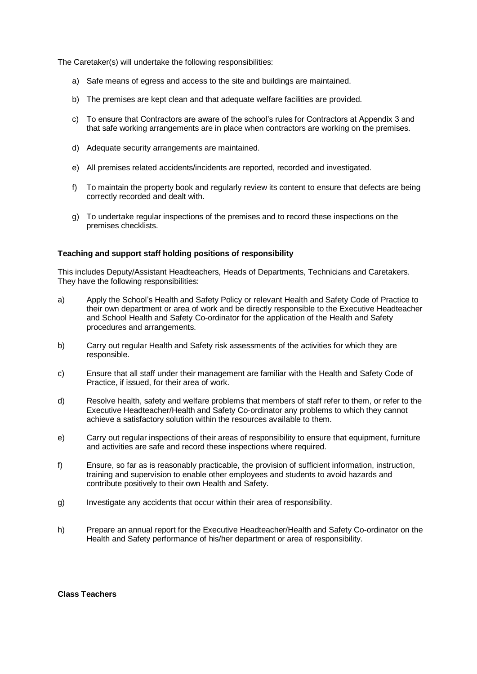The Caretaker(s) will undertake the following responsibilities:

- a) Safe means of egress and access to the site and buildings are maintained.
- b) The premises are kept clean and that adequate welfare facilities are provided.
- c) To ensure that Contractors are aware of the school's rules for Contractors at Appendix 3 and that safe working arrangements are in place when contractors are working on the premises.
- d) Adequate security arrangements are maintained.
- e) All premises related accidents/incidents are reported, recorded and investigated.
- f) To maintain the property book and regularly review its content to ensure that defects are being correctly recorded and dealt with.
- g) To undertake regular inspections of the premises and to record these inspections on the premises checklists.

#### **Teaching and support staff holding positions of responsibility**

This includes Deputy/Assistant Headteachers, Heads of Departments, Technicians and Caretakers. They have the following responsibilities:

- a) Apply the School's Health and Safety Policy or relevant Health and Safety Code of Practice to their own department or area of work and be directly responsible to the Executive Headteacher and School Health and Safety Co-ordinator for the application of the Health and Safety procedures and arrangements.
- b) Carry out regular Health and Safety risk assessments of the activities for which they are responsible.
- c) Ensure that all staff under their management are familiar with the Health and Safety Code of Practice, if issued, for their area of work.
- d) Resolve health, safety and welfare problems that members of staff refer to them, or refer to the Executive Headteacher/Health and Safety Co-ordinator any problems to which they cannot achieve a satisfactory solution within the resources available to them.
- e) Carry out regular inspections of their areas of responsibility to ensure that equipment, furniture and activities are safe and record these inspections where required.
- f) Ensure, so far as is reasonably practicable, the provision of sufficient information, instruction, training and supervision to enable other employees and students to avoid hazards and contribute positively to their own Health and Safety.
- g) Investigate any accidents that occur within their area of responsibility.
- h) Prepare an annual report for the Executive Headteacher/Health and Safety Co-ordinator on the Health and Safety performance of his/her department or area of responsibility.

#### **Class Teachers**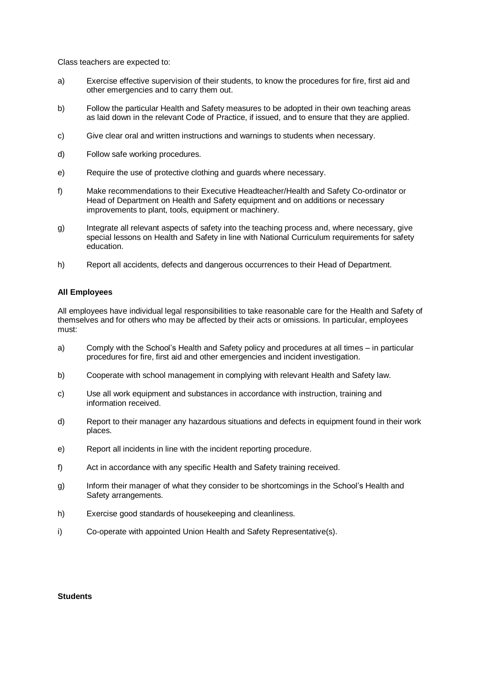Class teachers are expected to:

- a) Exercise effective supervision of their students, to know the procedures for fire, first aid and other emergencies and to carry them out.
- b) Follow the particular Health and Safety measures to be adopted in their own teaching areas as laid down in the relevant Code of Practice, if issued, and to ensure that they are applied.
- c) Give clear oral and written instructions and warnings to students when necessary.
- d) Follow safe working procedures.
- e) Require the use of protective clothing and guards where necessary.
- f) Make recommendations to their Executive Headteacher/Health and Safety Co-ordinator or Head of Department on Health and Safety equipment and on additions or necessary improvements to plant, tools, equipment or machinery.
- g) Integrate all relevant aspects of safety into the teaching process and, where necessary, give special lessons on Health and Safety in line with National Curriculum requirements for safety education.
- h) Report all accidents, defects and dangerous occurrences to their Head of Department.

#### **All Employees**

All employees have individual legal responsibilities to take reasonable care for the Health and Safety of themselves and for others who may be affected by their acts or omissions. In particular, employees must:

- a) Comply with the School's Health and Safety policy and procedures at all times in particular procedures for fire, first aid and other emergencies and incident investigation.
- b) Cooperate with school management in complying with relevant Health and Safety law.
- c) Use all work equipment and substances in accordance with instruction, training and information received.
- d) Report to their manager any hazardous situations and defects in equipment found in their work places.
- e) Report all incidents in line with the incident reporting procedure.
- f) Act in accordance with any specific Health and Safety training received.
- g) Inform their manager of what they consider to be shortcomings in the School's Health and Safety arrangements.
- h) Exercise good standards of housekeeping and cleanliness.
- i) Co-operate with appointed Union Health and Safety Representative(s).

#### **Students**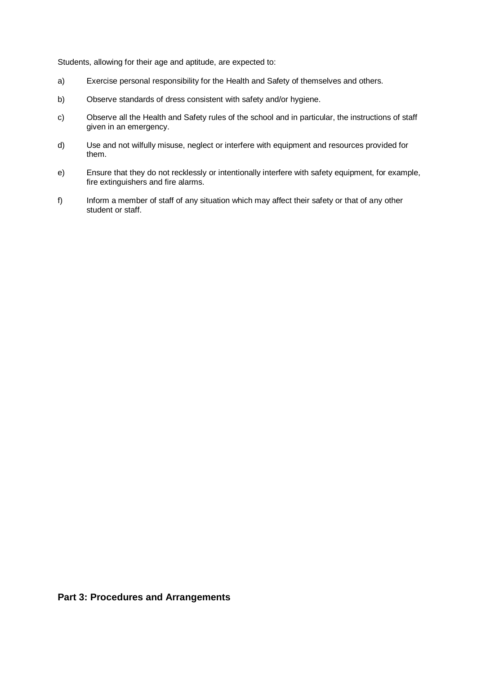Students, allowing for their age and aptitude, are expected to:

- a) Exercise personal responsibility for the Health and Safety of themselves and others.
- b) Observe standards of dress consistent with safety and/or hygiene.
- c) Observe all the Health and Safety rules of the school and in particular, the instructions of staff given in an emergency.
- d) Use and not wilfully misuse, neglect or interfere with equipment and resources provided for them.
- e) Ensure that they do not recklessly or intentionally interfere with safety equipment, for example, fire extinguishers and fire alarms.
- f) Inform a member of staff of any situation which may affect their safety or that of any other student or staff.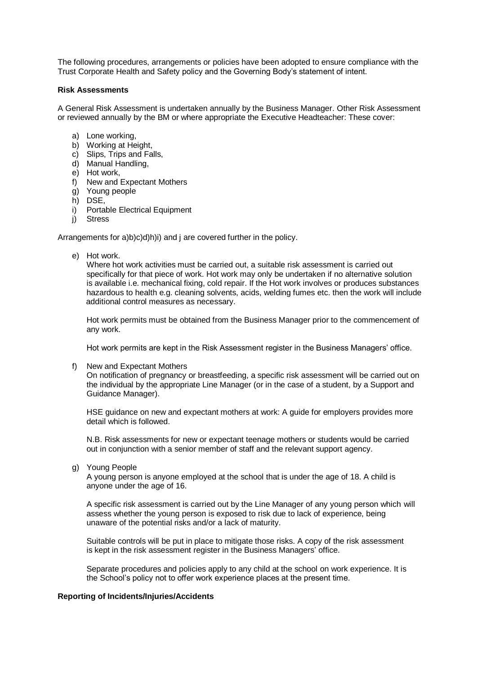The following procedures, arrangements or policies have been adopted to ensure compliance with the Trust Corporate Health and Safety policy and the Governing Body's statement of intent.

#### **Risk Assessments**

A General Risk Assessment is undertaken annually by the Business Manager. Other Risk Assessment or reviewed annually by the BM or where appropriate the Executive Headteacher: These cover:

- a) Lone working,
- b) Working at Height,
- c) Slips, Trips and Falls,
- d) Manual Handling,
- e) Hot work,
- f) New and Expectant Mothers
- g) Young people
- h) DSE,
- i) Portable Electrical Equipment
- j) Stress

Arrangements for a)b)c)d)h)i) and j are covered further in the policy.

e) Hot work.

Where hot work activities must be carried out, a suitable risk assessment is carried out specifically for that piece of work. Hot work may only be undertaken if no alternative solution is available i.e. mechanical fixing, cold repair. If the Hot work involves or produces substances hazardous to health e.g. cleaning solvents, acids, welding fumes etc. then the work will include additional control measures as necessary.

Hot work permits must be obtained from the Business Manager prior to the commencement of any work.

Hot work permits are kept in the Risk Assessment register in the Business Managers' office.

f) New and Expectant Mothers

On notification of pregnancy or breastfeeding, a specific risk assessment will be carried out on the individual by the appropriate Line Manager (or in the case of a student, by a Support and Guidance Manager).

HSE guidance on new and expectant mothers at work: A guide for employers provides more detail which is followed.

N.B. Risk assessments for new or expectant teenage mothers or students would be carried out in conjunction with a senior member of staff and the relevant support agency.

g) Young People

A young person is anyone employed at the school that is under the age of 18. A child is anyone under the age of 16.

A specific risk assessment is carried out by the Line Manager of any young person which will assess whether the young person is exposed to risk due to lack of experience, being unaware of the potential risks and/or a lack of maturity.

Suitable controls will be put in place to mitigate those risks. A copy of the risk assessment is kept in the risk assessment register in the Business Managers' office.

Separate procedures and policies apply to any child at the school on work experience. It is the School's policy not to offer work experience places at the present time.

#### **Reporting of Incidents/Injuries/Accidents**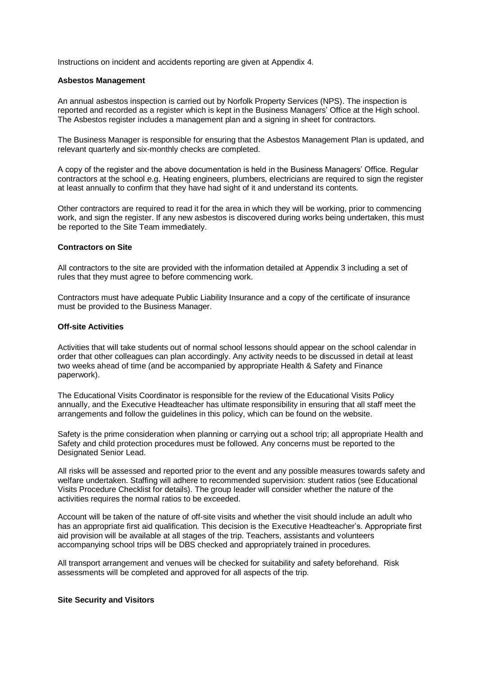Instructions on incident and accidents reporting are given at Appendix 4.

#### **Asbestos Management**

An annual asbestos inspection is carried out by Norfolk Property Services (NPS). The inspection is reported and recorded as a register which is kept in the Business Managers' Office at the High school. The Asbestos register includes a management plan and a signing in sheet for contractors.

The Business Manager is responsible for ensuring that the Asbestos Management Plan is updated, and relevant quarterly and six-monthly checks are completed.

A copy of the register and the above documentation is held in the Business Managers' Office. Regular contractors at the school e.g. Heating engineers, plumbers, electricians are required to sign the register at least annually to confirm that they have had sight of it and understand its contents.

Other contractors are required to read it for the area in which they will be working, prior to commencing work, and sign the register. If any new asbestos is discovered during works being undertaken, this must be reported to the Site Team immediately.

#### **Contractors on Site**

All contractors to the site are provided with the information detailed at Appendix 3 including a set of rules that they must agree to before commencing work.

Contractors must have adequate Public Liability Insurance and a copy of the certificate of insurance must be provided to the Business Manager.

#### **Off-site Activities**

Activities that will take students out of normal school lessons should appear on the school calendar in order that other colleagues can plan accordingly. Any activity needs to be discussed in detail at least two weeks ahead of time (and be accompanied by appropriate Health & Safety and Finance paperwork).

The Educational Visits Coordinator is responsible for the review of the Educational Visits Policy annually, and the Executive Headteacher has ultimate responsibility in ensuring that all staff meet the arrangements and follow the guidelines in this policy, which can be found on the website.

Safety is the prime consideration when planning or carrying out a school trip; all appropriate Health and Safety and child protection procedures must be followed. Any concerns must be reported to the Designated Senior Lead.

All risks will be assessed and reported prior to the event and any possible measures towards safety and welfare undertaken. Staffing will adhere to recommended supervision: student ratios (see Educational Visits Procedure Checklist for details). The group leader will consider whether the nature of the activities requires the normal ratios to be exceeded.

Account will be taken of the nature of off-site visits and whether the visit should include an adult who has an appropriate first aid qualification. This decision is the Executive Headteacher's. Appropriate first aid provision will be available at all stages of the trip. Teachers, assistants and volunteers accompanying school trips will be DBS checked and appropriately trained in procedures.

All transport arrangement and venues will be checked for suitability and safety beforehand. Risk assessments will be completed and approved for all aspects of the trip.

#### **Site Security and Visitors**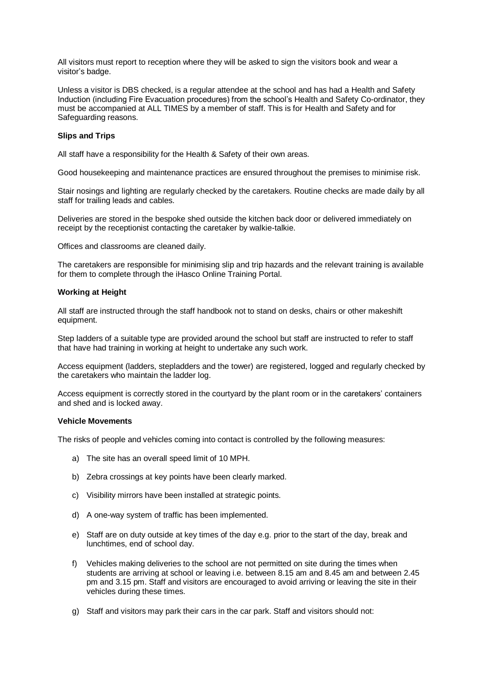All visitors must report to reception where they will be asked to sign the visitors book and wear a visitor's badge.

Unless a visitor is DBS checked, is a regular attendee at the school and has had a Health and Safety Induction (including Fire Evacuation procedures) from the school's Health and Safety Co-ordinator, they must be accompanied at ALL TIMES by a member of staff. This is for Health and Safety and for Safeguarding reasons.

#### **Slips and Trips**

All staff have a responsibility for the Health & Safety of their own areas.

Good housekeeping and maintenance practices are ensured throughout the premises to minimise risk.

Stair nosings and lighting are regularly checked by the caretakers. Routine checks are made daily by all staff for trailing leads and cables.

Deliveries are stored in the bespoke shed outside the kitchen back door or delivered immediately on receipt by the receptionist contacting the caretaker by walkie-talkie.

Offices and classrooms are cleaned daily.

The caretakers are responsible for minimising slip and trip hazards and the relevant training is available for them to complete through the iHasco Online Training Portal.

#### **Working at Height**

All staff are instructed through the staff handbook not to stand on desks, chairs or other makeshift equipment.

Step ladders of a suitable type are provided around the school but staff are instructed to refer to staff that have had training in working at height to undertake any such work.

Access equipment (ladders, stepladders and the tower) are registered, logged and regularly checked by the caretakers who maintain the ladder log.

Access equipment is correctly stored in the courtyard by the plant room or in the caretakers' containers and shed and is locked away.

#### **Vehicle Movements**

The risks of people and vehicles coming into contact is controlled by the following measures:

- a) The site has an overall speed limit of 10 MPH.
- b) Zebra crossings at key points have been clearly marked.
- c) Visibility mirrors have been installed at strategic points.
- d) A one-way system of traffic has been implemented.
- e) Staff are on duty outside at key times of the day e.g. prior to the start of the day, break and lunchtimes, end of school day.
- f) Vehicles making deliveries to the school are not permitted on site during the times when students are arriving at school or leaving i.e. between 8.15 am and 8.45 am and between 2.45 pm and 3.15 pm. Staff and visitors are encouraged to avoid arriving or leaving the site in their vehicles during these times.
- g) Staff and visitors may park their cars in the car park. Staff and visitors should not: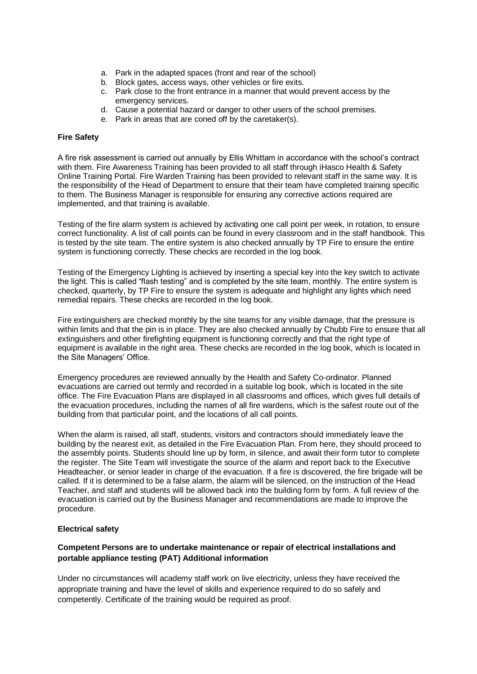- a. Park in the adapted spaces (front and rear of the school)
- b. Block gates, access ways, other vehicles or fire exits.
- c. Park close to the front entrance in a manner that would prevent access by the emergency services.
- d. Cause a potential hazard or danger to other users of the school premises.
- e. Park in areas that are coned off by the caretaker(s).

#### **Fire Safety**

A fire risk assessment is carried out annually by Ellis Whittam in accordance with the school's contract with them. Fire Awareness Training has been provided to all staff through iHasco Health & Safety Online Training Portal. Fire Warden Training has been provided to relevant staff in the same way. It is the responsibility of the Head of Department to ensure that their team have completed training specific to them. The Business Manager is responsible for ensuring any corrective actions required are implemented, and that training is available.

Testing of the fire alarm system is achieved by activating one call point per week, in rotation, to ensure correct functionality. A list of call points can be found in every classroom and in the staff handbook. This is tested by the site team. The entire system is also checked annually by TP Fire to ensure the entire system is functioning correctly. These checks are recorded in the log book.

Testing of the Emergency Lighting is achieved by inserting a special key into the key switch to activate the light. This is called "flash testing" and is completed by the site team, monthly. The entire system is checked, quarterly, by TP Fire to ensure the system is adequate and highlight any lights which need remedial repairs. These checks are recorded in the log book.

Fire extinguishers are checked monthly by the site teams for any visible damage, that the pressure is within limits and that the pin is in place. They are also checked annually by Chubb Fire to ensure that all extinguishers and other firefighting equipment is functioning correctly and that the right type of equipment is available in the right area. These checks are recorded in the log book, which is located in the Site Managers' Office.

Emergency procedures are reviewed annually by the Health and Safety Co-ordinator. Planned evacuations are carried out termly and recorded in a suitable log book, which is located in the site office. The Fire Evacuation Plans are displayed in all classrooms and offices, which gives full details of the evacuation procedures, including the names of all fire wardens, which is the safest route out of the building from that particular point, and the locations of all call points.

When the alarm is raised, all staff, students, visitors and contractors should immediately leave the building by the nearest exit, as detailed in the Fire Evacuation Plan. From here, they should proceed to the assembly points. Students should line up by form, in silence, and await their form tutor to complete the register. The Site Team will investigate the source of the alarm and report back to the Executive Headteacher, or senior leader in charge of the evacuation. If a fire is discovered, the fire brigade will be called. If it is determined to be a false alarm, the alarm will be silenced, on the instruction of the Head Teacher, and staff and students will be allowed back into the building form by form. A full review of the evacuation is carried out by the Business Manager and recommendations are made to improve the procedure.

#### **Electrical safety**

#### **Competent Persons are to undertake maintenance or repair of electrical installations and portable appliance testing (PAT) Additional information**

Under no circumstances will academy staff work on live electricity, unless they have received the appropriate training and have the level of skills and experience required to do so safely and competently. Certificate of the training would be required as proof.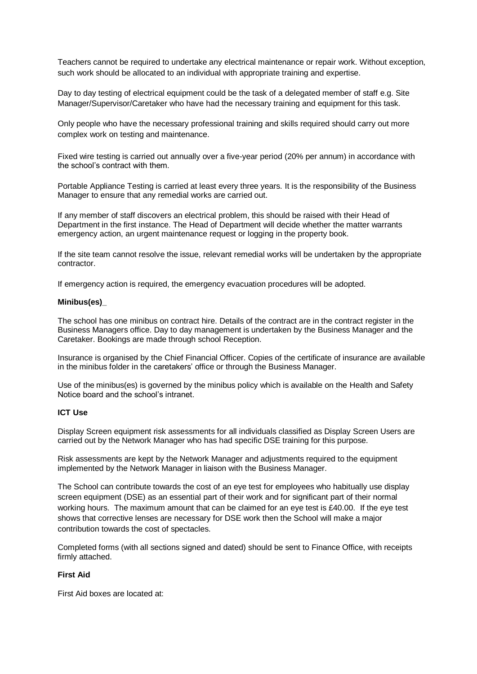Teachers cannot be required to undertake any electrical maintenance or repair work. Without exception, such work should be allocated to an individual with appropriate training and expertise.

Day to day testing of electrical equipment could be the task of a delegated member of staff e.g. Site Manager/Supervisor/Caretaker who have had the necessary training and equipment for this task.

Only people who have the necessary professional training and skills required should carry out more complex work on testing and maintenance.

Fixed wire testing is carried out annually over a five-year period (20% per annum) in accordance with the school's contract with them.

Portable Appliance Testing is carried at least every three years. It is the responsibility of the Business Manager to ensure that any remedial works are carried out.

If any member of staff discovers an electrical problem, this should be raised with their Head of Department in the first instance. The Head of Department will decide whether the matter warrants emergency action, an urgent maintenance request or logging in the property book.

If the site team cannot resolve the issue, relevant remedial works will be undertaken by the appropriate contractor.

If emergency action is required, the emergency evacuation procedures will be adopted.

#### **Minibus(es)\_**

The school has one minibus on contract hire. Details of the contract are in the contract register in the Business Managers office. Day to day management is undertaken by the Business Manager and the Caretaker. Bookings are made through school Reception.

Insurance is organised by the Chief Financial Officer. Copies of the certificate of insurance are available in the minibus folder in the caretakers' office or through the Business Manager.

Use of the minibus(es) is governed by the minibus policy which is available on the Health and Safety Notice board and the school's intranet.

#### **ICT Use**

Display Screen equipment risk assessments for all individuals classified as Display Screen Users are carried out by the Network Manager who has had specific DSE training for this purpose.

Risk assessments are kept by the Network Manager and adjustments required to the equipment implemented by the Network Manager in liaison with the Business Manager.

The School can contribute towards the cost of an eye test for employees who habitually use display screen equipment (DSE) as an essential part of their work and for significant part of their normal working hours. The maximum amount that can be claimed for an eye test is £40.00. If the eye test shows that corrective lenses are necessary for DSE work then the School will make a major contribution towards the cost of spectacles.

Completed forms (with all sections signed and dated) should be sent to Finance Office, with receipts firmly attached.

#### **First Aid**

First Aid boxes are located at: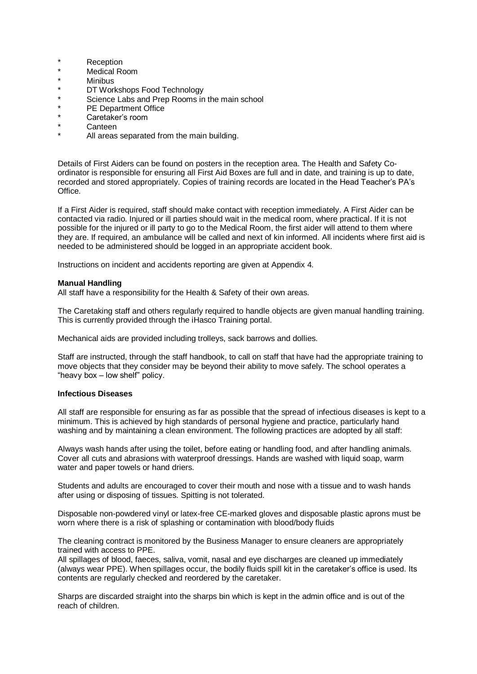- \* Reception<br>Nedical Pr
- \* Medical Room
- \* Minibus<br>\* DT Worl
- \* DT Workshops Food Technology
- \* Science Labs and Prep Rooms in the main school
- \* PE Department Office
- \* Caretaker's room
- Canteen
- All areas separated from the main building.

Details of First Aiders can be found on posters in the reception area. The Health and Safety Coordinator is responsible for ensuring all First Aid Boxes are full and in date, and training is up to date, recorded and stored appropriately. Copies of training records are located in the Head Teacher's PA's Office.

If a First Aider is required, staff should make contact with reception immediately. A First Aider can be contacted via radio. Injured or ill parties should wait in the medical room, where practical. If it is not possible for the injured or ill party to go to the Medical Room, the first aider will attend to them where they are. If required, an ambulance will be called and next of kin informed. All incidents where first aid is needed to be administered should be logged in an appropriate accident book.

Instructions on incident and accidents reporting are given at Appendix 4.

#### **Manual Handling**

All staff have a responsibility for the Health & Safety of their own areas.

The Caretaking staff and others regularly required to handle objects are given manual handling training. This is currently provided through the iHasco Training portal.

Mechanical aids are provided including trolleys, sack barrows and dollies.

Staff are instructed, through the staff handbook, to call on staff that have had the appropriate training to move objects that they consider may be beyond their ability to move safely. The school operates a "heavy box – low shelf" policy.

#### **Infectious Diseases**

All staff are responsible for ensuring as far as possible that the spread of infectious diseases is kept to a minimum. This is achieved by high standards of personal hygiene and practice, particularly hand washing and by maintaining a clean environment. The following practices are adopted by all staff:

Always wash hands after using the toilet, before eating or handling food, and after handling animals. Cover all cuts and abrasions with waterproof dressings. Hands are washed with liquid soap, warm water and paper towels or hand driers.

Students and adults are encouraged to cover their mouth and nose with a tissue and to wash hands after using or disposing of tissues. Spitting is not tolerated.

Disposable non-powdered vinyl or latex-free CE-marked gloves and disposable plastic aprons must be worn where there is a risk of splashing or contamination with blood/body fluids

The cleaning contract is monitored by the Business Manager to ensure cleaners are appropriately trained with access to PPE.

All spillages of blood, faeces, saliva, vomit, nasal and eye discharges are cleaned up immediately (always wear PPE). When spillages occur, the bodily fluids spill kit in the caretaker's office is used. Its contents are regularly checked and reordered by the caretaker.

Sharps are discarded straight into the sharps bin which is kept in the admin office and is out of the reach of children.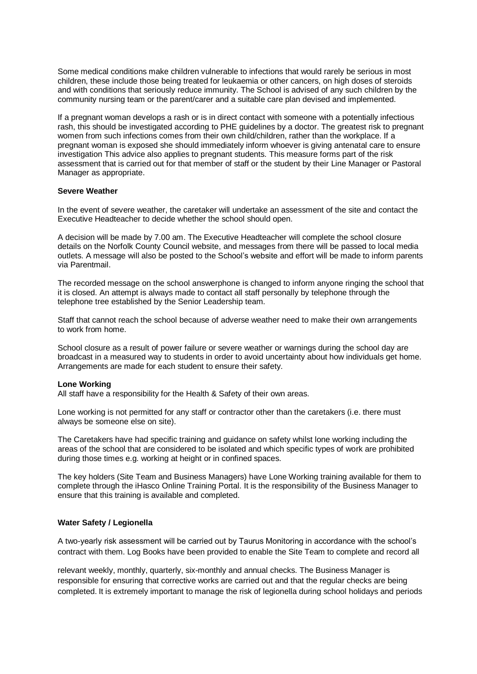Some medical conditions make children vulnerable to infections that would rarely be serious in most children, these include those being treated for leukaemia or other cancers, on high doses of steroids and with conditions that seriously reduce immunity. The School is advised of any such children by the community nursing team or the parent/carer and a suitable care plan devised and implemented.

If a pregnant woman develops a rash or is in direct contact with someone with a potentially infectious rash, this should be investigated according to PHE guidelines by a doctor. The greatest risk to pregnant women from such infections comes from their own child/children, rather than the workplace. If a pregnant woman is exposed she should immediately inform whoever is giving antenatal care to ensure investigation This advice also applies to pregnant students. This measure forms part of the risk assessment that is carried out for that member of staff or the student by their Line Manager or Pastoral Manager as appropriate.

#### **Severe Weather**

In the event of severe weather, the caretaker will undertake an assessment of the site and contact the Executive Headteacher to decide whether the school should open.

A decision will be made by 7.00 am. The Executive Headteacher will complete the school closure details on the Norfolk County Council website, and messages from there will be passed to local media outlets. A message will also be posted to the School's website and effort will be made to inform parents via Parentmail.

The recorded message on the school answerphone is changed to inform anyone ringing the school that it is closed. An attempt is always made to contact all staff personally by telephone through the telephone tree established by the Senior Leadership team.

Staff that cannot reach the school because of adverse weather need to make their own arrangements to work from home.

School closure as a result of power failure or severe weather or warnings during the school day are broadcast in a measured way to students in order to avoid uncertainty about how individuals get home. Arrangements are made for each student to ensure their safety.

#### **Lone Working**

All staff have a responsibility for the Health & Safety of their own areas.

Lone working is not permitted for any staff or contractor other than the caretakers (i.e. there must always be someone else on site).

The Caretakers have had specific training and guidance on safety whilst lone working including the areas of the school that are considered to be isolated and which specific types of work are prohibited during those times e.g. working at height or in confined spaces.

The key holders (Site Team and Business Managers) have Lone Working training available for them to complete through the iHasco Online Training Portal. It is the responsibility of the Business Manager to ensure that this training is available and completed.

## **Water Safety / Legionella**

A two-yearly risk assessment will be carried out by Taurus Monitoring in accordance with the school's contract with them. Log Books have been provided to enable the Site Team to complete and record all

relevant weekly, monthly, quarterly, six-monthly and annual checks. The Business Manager is responsible for ensuring that corrective works are carried out and that the regular checks are being completed. It is extremely important to manage the risk of legionella during school holidays and periods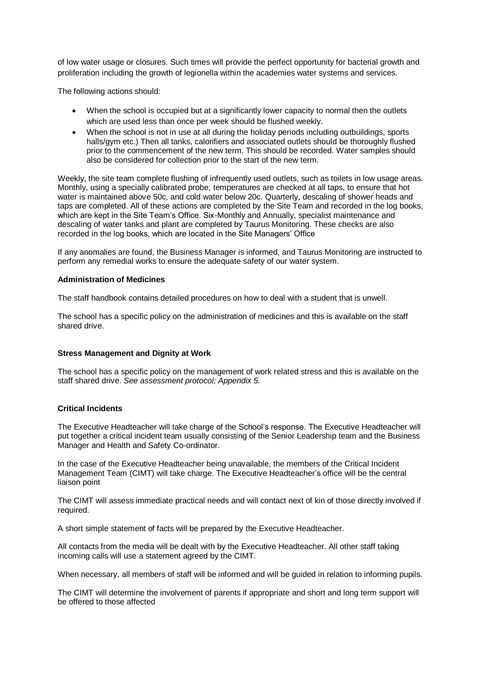of low water usage or closures. Such times will provide the perfect opportunity for bacterial growth and proliferation including the growth of legionella within the academies water systems and services.

The following actions should:

- When the school is occupied but at a significantly lower capacity to normal then the outlets which are used less than once per week should be flushed weekly.
- When the school is not in use at all during the holiday periods including outbuildings, sports halls/gym etc.) Then all tanks, calorifiers and associated outlets should be thoroughly flushed prior to the commencement of the new term. This should be recorded. Water samples should also be considered for collection prior to the start of the new term.

Weekly, the site team complete flushing of infrequently used outlets, such as toilets in low usage areas. Monthly, using a specially calibrated probe, temperatures are checked at all taps, to ensure that hot water is maintained above 50c, and cold water below 20c. Quarterly, descaling of shower heads and taps are completed. All of these actions are completed by the Site Team and recorded in the log books, which are kept in the Site Team's Office. Six-Monthly and Annually, specialist maintenance and descaling of water tanks and plant are completed by Taurus Monitoring. These checks are also recorded in the log books, which are located in the Site Managers' Office

If any anomalies are found, the Business Manager is informed, and Taurus Monitoring are instructed to perform any remedial works to ensure the adequate safety of our water system.

#### **Administration of Medicines**

The staff handbook contains detailed procedures on how to deal with a student that is unwell.

The school has a specific policy on the administration of medicines and this is available on the staff shared drive.

#### **Stress Management and Dignity at Work**

The school has a specific policy on the management of work related stress and this is available on the staff shared drive. *See assessment protocol; Appendix 5.*

#### **Critical Incidents**

The Executive Headteacher will take charge of the School's response. The Executive Headteacher will put together a critical incident team usually consisting of the Senior Leadership team and the Business Manager and Health and Safety Co-ordinator.

In the case of the Executive Headteacher being unavailable, the members of the Critical Incident Management Team (CIMT) will take charge. The Executive Headteacher's office will be the central liaison point

The CIMT will assess immediate practical needs and will contact next of kin of those directly involved if required.

A short simple statement of facts will be prepared by the Executive Headteacher.

All contacts from the media will be dealt with by the Executive Headteacher. All other staff taking incoming calls will use a statement agreed by the CIMT.

When necessary, all members of staff will be informed and will be guided in relation to informing pupils.

The CIMT will determine the involvement of parents if appropriate and short and long term support will be offered to those affected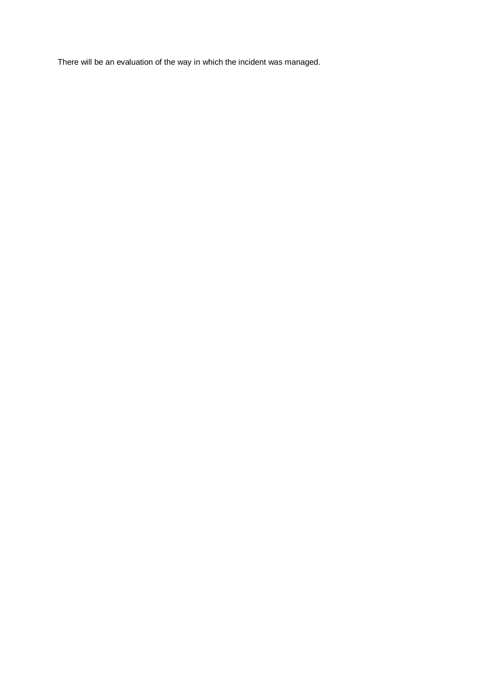There will be an evaluation of the way in which the incident was managed.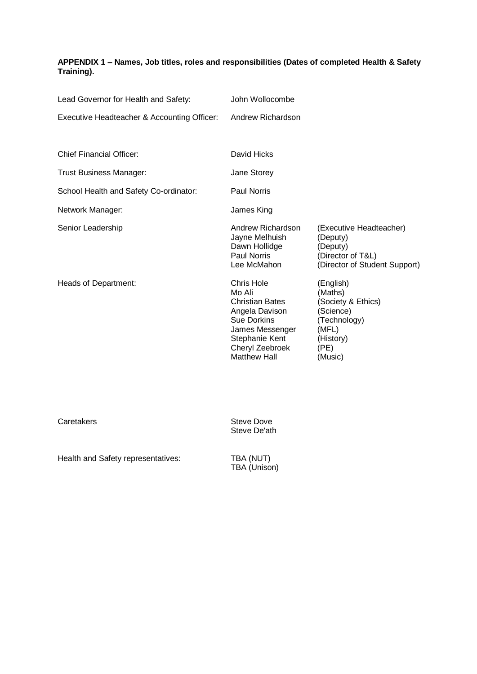## **APPENDIX 1 – Names, Job titles, roles and responsibilities (Dates of completed Health & Safety Training).**

| Lead Governor for Health and Safety:        | John Wollocombe                                                                                                                                                              |                                                                                                                  |
|---------------------------------------------|------------------------------------------------------------------------------------------------------------------------------------------------------------------------------|------------------------------------------------------------------------------------------------------------------|
| Executive Headteacher & Accounting Officer: | Andrew Richardson                                                                                                                                                            |                                                                                                                  |
|                                             |                                                                                                                                                                              |                                                                                                                  |
| <b>Chief Financial Officer:</b>             | David Hicks                                                                                                                                                                  |                                                                                                                  |
| Trust Business Manager:                     | Jane Storey                                                                                                                                                                  |                                                                                                                  |
| School Health and Safety Co-ordinator:      | <b>Paul Norris</b>                                                                                                                                                           |                                                                                                                  |
| Network Manager:                            | James King                                                                                                                                                                   |                                                                                                                  |
| Senior Leadership                           | Andrew Richardson<br>Jayne Melhuish<br>Dawn Hollidge<br><b>Paul Norris</b><br>Lee McMahon                                                                                    | (Executive Headteacher)<br>(Deputy)<br>(Deputy)<br>(Director of T&L)<br>(Director of Student Support)            |
| Heads of Department:                        | <b>Chris Hole</b><br>Mo Ali<br><b>Christian Bates</b><br>Angela Davison<br><b>Sue Dorkins</b><br>James Messenger<br>Stephanie Kent<br>Cheryl Zeebroek<br><b>Matthew Hall</b> | (English)<br>(Maths)<br>(Society & Ethics)<br>(Science)<br>(Technology)<br>(MFL)<br>(History)<br>(PE)<br>(Music) |

Caretakers **Steve Dove** Steve De'ath

Health and Safety representatives:

TBA (NUT)<br>TBA (Unison)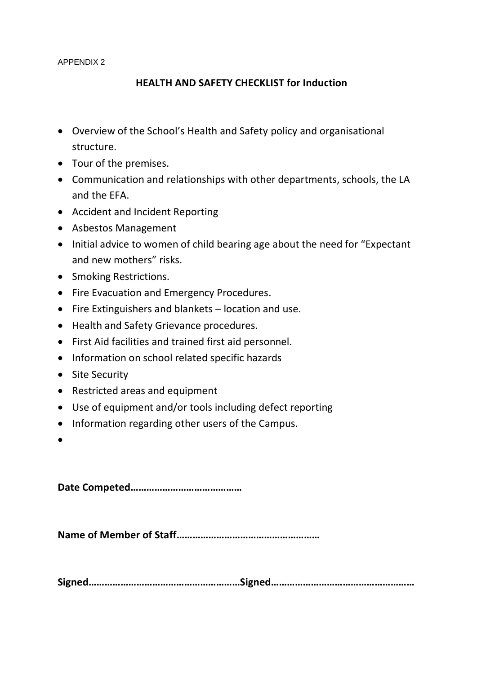APPENDIX 2

## **HEALTH AND SAFETY CHECKLIST for Induction**

- Overview of the School's Health and Safety policy and organisational structure.
- Tour of the premises.
- Communication and relationships with other departments, schools, the LA and the EFA.
- Accident and Incident Reporting
- Asbestos Management
- Initial advice to women of child bearing age about the need for "Expectant" and new mothers" risks.
- Smoking Restrictions.
- Fire Evacuation and Emergency Procedures.
- Fire Extinguishers and blankets location and use.
- Health and Safety Grievance procedures.
- First Aid facilities and trained first aid personnel.
- Information on school related specific hazards
- Site Security
- Restricted areas and equipment
- Use of equipment and/or tools including defect reporting
- Information regarding other users of the Campus.
- $\bullet$

**Date Competed……………………………………**

**Name of Member of Staff………………………………………………**

**Signed…………………………………………………Signed………………………………………………**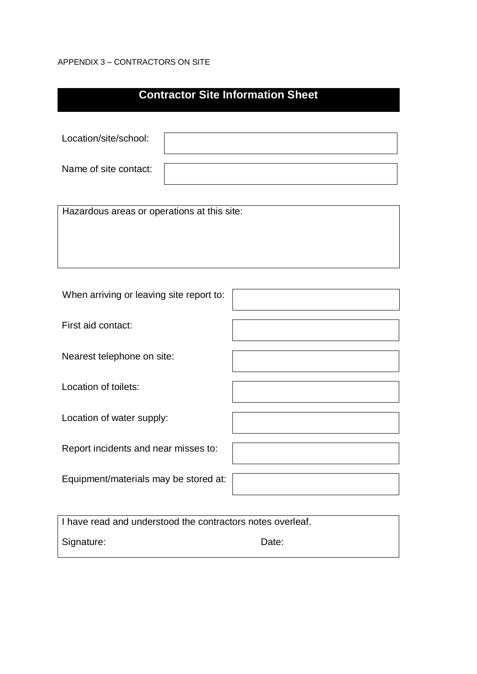## APPENDIX 3 – CONTRACTORS ON SITE

| <b>Contractor Site Information Sheet</b>                   |  |  |
|------------------------------------------------------------|--|--|
|                                                            |  |  |
| Location/site/school:                                      |  |  |
| Name of site contact:                                      |  |  |
|                                                            |  |  |
| Hazardous areas or operations at this site:                |  |  |
|                                                            |  |  |
|                                                            |  |  |
| When arriving or leaving site report to:                   |  |  |
| First aid contact:                                         |  |  |
| Nearest telephone on site:                                 |  |  |
| Location of toilets:                                       |  |  |
| Location of water supply:                                  |  |  |
| Report incidents and near misses to:                       |  |  |
| Equipment/materials may be stored at:                      |  |  |
|                                                            |  |  |
| I have read and understood the contractors notes overleaf. |  |  |

Signature: Date: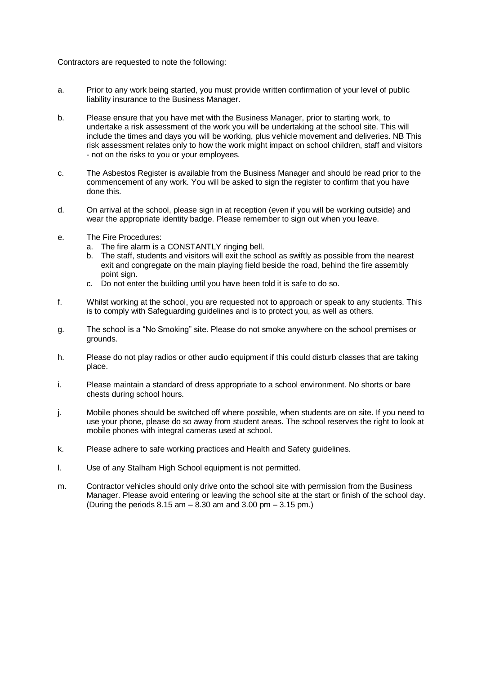Contractors are requested to note the following:

- a. Prior to any work being started, you must provide written confirmation of your level of public liability insurance to the Business Manager.
- b. Please ensure that you have met with the Business Manager, prior to starting work, to undertake a risk assessment of the work you will be undertaking at the school site. This will include the times and days you will be working, plus vehicle movement and deliveries. NB This risk assessment relates only to how the work might impact on school children, staff and visitors - not on the risks to you or your employees.
- c. The Asbestos Register is available from the Business Manager and should be read prior to the commencement of any work. You will be asked to sign the register to confirm that you have done this.
- d. On arrival at the school, please sign in at reception (even if you will be working outside) and wear the appropriate identity badge. Please remember to sign out when you leave.
- e. The Fire Procedures:
	- a. The fire alarm is a CONSTANTLY ringing bell.
	- b. The staff, students and visitors will exit the school as swiftly as possible from the nearest exit and congregate on the main playing field beside the road, behind the fire assembly point sign.
	- c. Do not enter the building until you have been told it is safe to do so.
- f. Whilst working at the school, you are requested not to approach or speak to any students. This is to comply with Safeguarding guidelines and is to protect you, as well as others.
- g. The school is a "No Smoking" site. Please do not smoke anywhere on the school premises or grounds.
- h. Please do not play radios or other audio equipment if this could disturb classes that are taking place.
- i. Please maintain a standard of dress appropriate to a school environment. No shorts or bare chests during school hours.
- j. Mobile phones should be switched off where possible, when students are on site. If you need to use your phone, please do so away from student areas. The school reserves the right to look at mobile phones with integral cameras used at school.
- k. Please adhere to safe working practices and Health and Safety guidelines.
- l. Use of any Stalham High School equipment is not permitted.
- m. Contractor vehicles should only drive onto the school site with permission from the Business Manager. Please avoid entering or leaving the school site at the start or finish of the school day. (During the periods  $8.15$  am  $8.30$  am and  $3.00$  pm  $3.15$  pm.)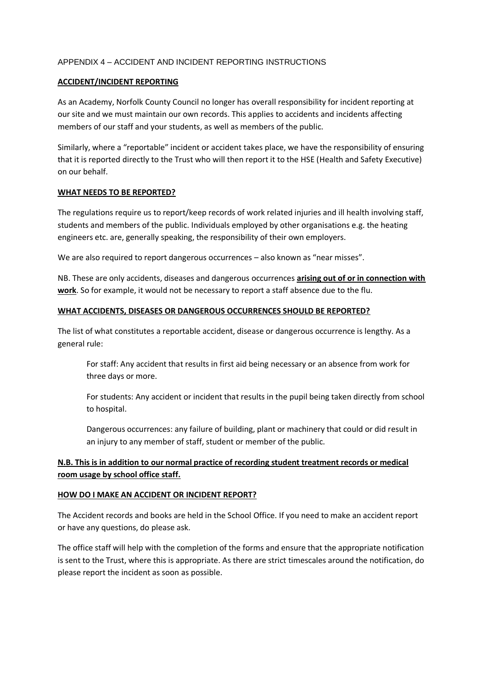## APPENDIX 4 – ACCIDENT AND INCIDENT REPORTING INSTRUCTIONS

## **ACCIDENT/INCIDENT REPORTING**

As an Academy, Norfolk County Council no longer has overall responsibility for incident reporting at our site and we must maintain our own records. This applies to accidents and incidents affecting members of our staff and your students, as well as members of the public.

Similarly, where a "reportable" incident or accident takes place, we have the responsibility of ensuring that it is reported directly to the Trust who will then report it to the HSE (Health and Safety Executive) on our behalf.

## **WHAT NEEDS TO BE REPORTED?**

The regulations require us to report/keep records of work related injuries and ill health involving staff, students and members of the public. Individuals employed by other organisations e.g. the heating engineers etc. are, generally speaking, the responsibility of their own employers.

We are also required to report dangerous occurrences - also known as "near misses".

NB. These are only accidents, diseases and dangerous occurrences **arising out of or in connection with work**. So for example, it would not be necessary to report a staff absence due to the flu.

## **WHAT ACCIDENTS, DISEASES OR DANGEROUS OCCURRENCES SHOULD BE REPORTED?**

The list of what constitutes a reportable accident, disease or dangerous occurrence is lengthy. As a general rule:

For staff: Any accident that results in first aid being necessary or an absence from work for three days or more.

For students: Any accident or incident that results in the pupil being taken directly from school to hospital.

Dangerous occurrences: any failure of building, plant or machinery that could or did result in an injury to any member of staff, student or member of the public.

## **N.B. This is in addition to our normal practice of recording student treatment records or medical room usage by school office staff.**

## **HOW DO I MAKE AN ACCIDENT OR INCIDENT REPORT?**

The Accident records and books are held in the School Office. If you need to make an accident report or have any questions, do please ask.

The office staff will help with the completion of the forms and ensure that the appropriate notification is sent to the Trust, where this is appropriate. As there are strict timescales around the notification, do please report the incident as soon as possible.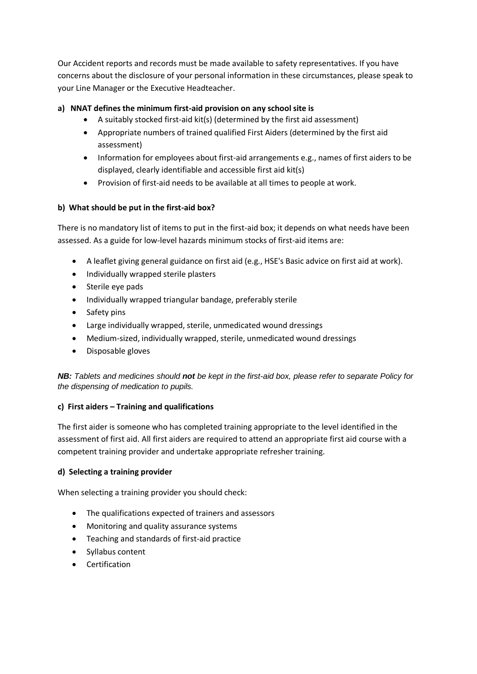Our Accident reports and records must be made available to safety representatives. If you have concerns about the disclosure of your personal information in these circumstances, please speak to your Line Manager or the Executive Headteacher.

## **a) NNAT defines the minimum first-aid provision on any school site is**

- A suitably stocked first-aid kit(s) (determined by the first aid assessment)
- Appropriate numbers of trained qualified First Aiders (determined by the first aid assessment)
- Information for employees about first-aid arrangements e.g., names of first aiders to be displayed, clearly identifiable and accessible first aid kit(s)
- Provision of first-aid needs to be available at all times to people at work.

## **b) What should be put in the first-aid box?**

There is no mandatory list of items to put in the first-aid box; it depends on what needs have been assessed. As a guide for low-level hazards minimum stocks of first-aid items are:

- A leaflet giving general guidance on first aid (e.g., HSE's Basic advice on first aid at work).
- Individually wrapped sterile plasters
- Sterile eye pads
- Individually wrapped triangular bandage, preferably sterile
- Safety pins
- Large individually wrapped, sterile, unmedicated wound dressings
- Medium-sized, individually wrapped, sterile, unmedicated wound dressings
- Disposable gloves

*NB: Tablets and medicines should not be kept in the first-aid box, please refer to separate Policy for the dispensing of medication to pupils.*

## **c) First aiders – Training and qualifications**

The first aider is someone who has completed training appropriate to the level identified in the assessment of first aid. All first aiders are required to attend an appropriate first aid course with a competent training provider and undertake appropriate refresher training.

## **d) Selecting a training provider**

When selecting a training provider you should check:

- The qualifications expected of trainers and assessors
- Monitoring and quality assurance systems
- Teaching and standards of first-aid practice
- Syllabus content
- **•** Certification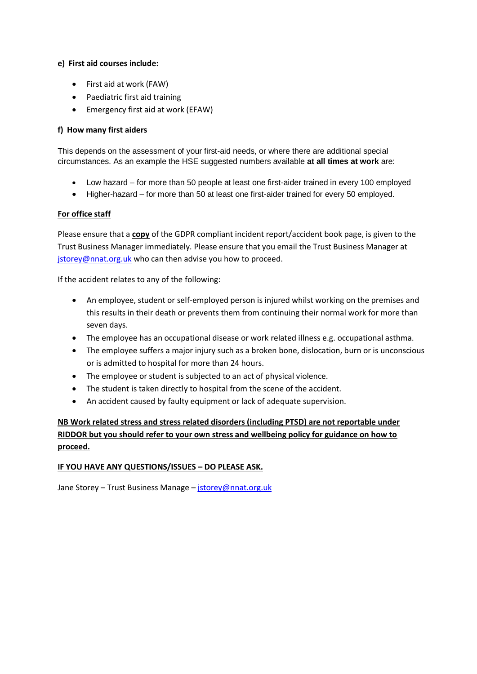## **e) First aid courses include:**

- First aid at work (FAW)
- Paediatric first aid training
- Emergency first aid at work (EFAW)

## **f) How many first aiders**

This depends on the assessment of your first-aid needs, or where there are additional special circumstances. As an example the HSE suggested numbers available **at all times at work** are:

- Low hazard for more than 50 people at least one first-aider trained in every 100 employed
- Higher-hazard for more than 50 at least one first-aider trained for every 50 employed.

## **For office staff**

Please ensure that a **copy** of the GDPR compliant incident report/accident book page, is given to the Trust Business Manager immediately. Please ensure that you email the Trust Business Manager at [jstorey@nnat.org.uk](mailto:jstorey@nnat.org.uk) who can then advise you how to proceed.

If the accident relates to any of the following:

- An employee, student or self-employed person is injured whilst working on the premises and this results in their death or prevents them from continuing their normal work for more than seven days.
- The employee has an occupational disease or work related illness e.g. occupational asthma.
- The employee suffers a major injury such as a broken bone, dislocation, burn or is unconscious or is admitted to hospital for more than 24 hours.
- The employee or student is subjected to an act of physical violence.
- The student is taken directly to hospital from the scene of the accident.
- An accident caused by faulty equipment or lack of adequate supervision.

**NB Work related stress and stress related disorders (including PTSD) are not reportable under RIDDOR but you should refer to your own stress and wellbeing policy for guidance on how to proceed.**

## **IF YOU HAVE ANY QUESTIONS/ISSUES – DO PLEASE ASK.**

Jane Storey – Trust Business Manage – [jstorey@nnat.org.uk](mailto:jstorey@nnat.org.uk)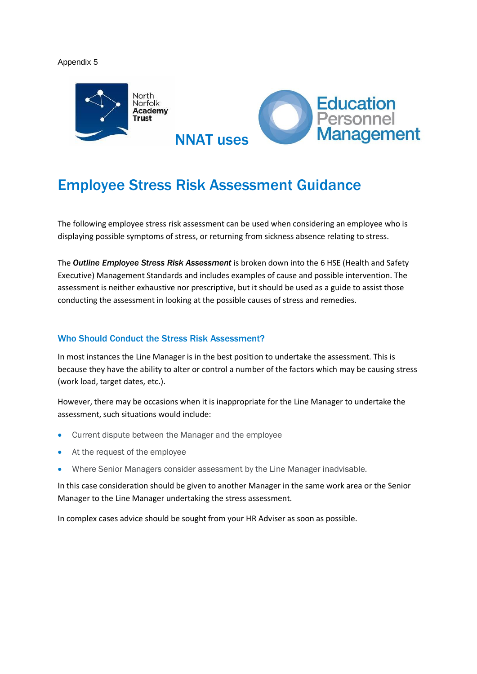#### Appendix 5



## Employee Stress Risk Assessment Guidance

The following employee stress risk assessment can be used when considering an employee who is displaying possible symptoms of stress, or returning from sickness absence relating to stress.

The *Outline Employee Stress Risk Assessment* is broken down into the 6 HSE (Health and Safety Executive) Management Standards and includes examples of cause and possible intervention. The assessment is neither exhaustive nor prescriptive, but it should be used as a guide to assist those conducting the assessment in looking at the possible causes of stress and remedies.

#### Who Should Conduct the Stress Risk Assessment?

In most instances the Line Manager is in the best position to undertake the assessment. This is because they have the ability to alter or control a number of the factors which may be causing stress (work load, target dates, etc.).

However, there may be occasions when it is inappropriate for the Line Manager to undertake the assessment, such situations would include:

- Current dispute between the Manager and the employee
- At the request of the employee
- Where Senior Managers consider assessment by the Line Manager inadvisable.

In this case consideration should be given to another Manager in the same work area or the Senior Manager to the Line Manager undertaking the stress assessment.

In complex cases advice should be sought from your HR Adviser as soon as possible.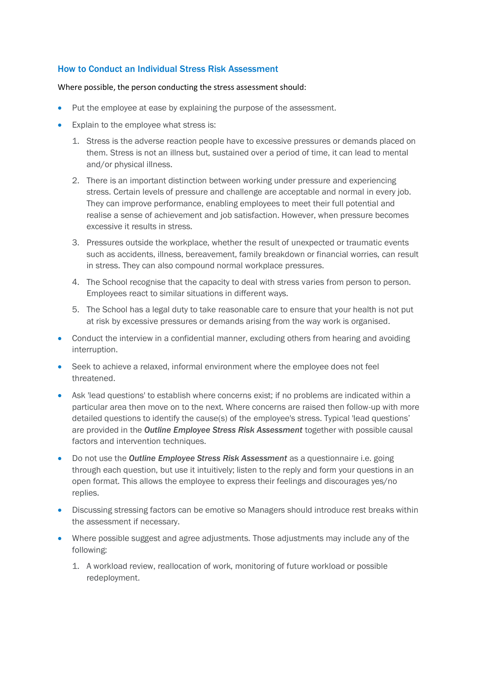## How to Conduct an Individual Stress Risk Assessment

#### Where possible, the person conducting the stress assessment should:

- Put the employee at ease by explaining the purpose of the assessment.
- Explain to the employee what stress is:
	- 1. Stress is the adverse reaction people have to excessive pressures or demands placed on them. Stress is not an illness but, sustained over a period of time, it can lead to mental and/or physical illness.
	- 2. There is an important distinction between working under pressure and experiencing stress. Certain levels of pressure and challenge are acceptable and normal in every job. They can improve performance, enabling employees to meet their full potential and realise a sense of achievement and job satisfaction. However, when pressure becomes excessive it results in stress.
	- 3. Pressures outside the workplace, whether the result of unexpected or traumatic events such as accidents, illness, bereavement, family breakdown or financial worries, can result in stress. They can also compound normal workplace pressures.
	- 4. The School recognise that the capacity to deal with stress varies from person to person. Employees react to similar situations in different ways.
	- 5. The School has a legal duty to take reasonable care to ensure that your health is not put at risk by excessive pressures or demands arising from the way work is organised.
- Conduct the interview in a confidential manner, excluding others from hearing and avoiding interruption.
- Seek to achieve a relaxed, informal environment where the employee does not feel threatened.
- Ask 'lead questions' to establish where concerns exist; if no problems are indicated within a particular area then move on to the next. Where concerns are raised then follow-up with more detailed questions to identify the cause(s) of the employee's stress. Typical 'lead questions' are provided in the *Outline Employee Stress Risk Assessment* together with possible causal factors and intervention techniques.
- Do not use the *Outline Employee Stress Risk Assessment* as a questionnaire i.e. going through each question, but use it intuitively; listen to the reply and form your questions in an open format. This allows the employee to express their feelings and discourages yes/no replies.
- Discussing stressing factors can be emotive so Managers should introduce rest breaks within the assessment if necessary.
- Where possible suggest and agree adjustments. Those adjustments may include any of the following:
	- 1. A workload review, reallocation of work, monitoring of future workload or possible redeployment.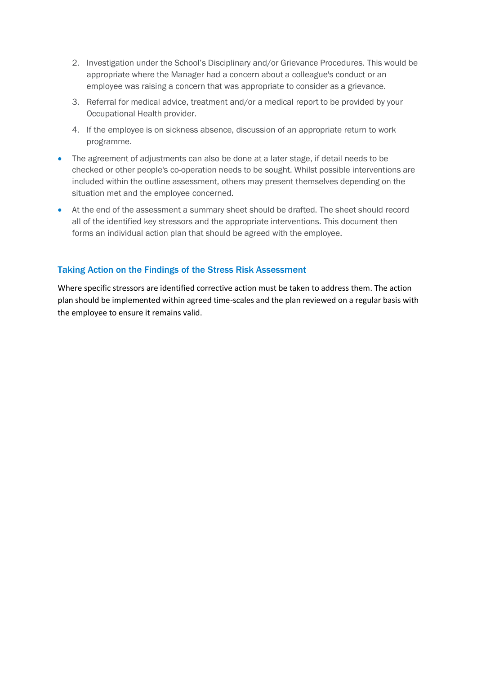- 2. Investigation under the School's Disciplinary and/or Grievance Procedures. This would be appropriate where the Manager had a concern about a colleague's conduct or an employee was raising a concern that was appropriate to consider as a grievance.
- 3. Referral for medical advice, treatment and/or a medical report to be provided by your Occupational Health provider.
- 4. If the employee is on sickness absence, discussion of an appropriate return to work programme.
- The agreement of adjustments can also be done at a later stage, if detail needs to be checked or other people's co-operation needs to be sought. Whilst possible interventions are included within the outline assessment, others may present themselves depending on the situation met and the employee concerned.
- At the end of the assessment a summary sheet should be drafted. The sheet should record all of the identified key stressors and the appropriate interventions. This document then forms an individual action plan that should be agreed with the employee.

## Taking Action on the Findings of the Stress Risk Assessment

Where specific stressors are identified corrective action must be taken to address them. The action plan should be implemented within agreed time-scales and the plan reviewed on a regular basis with the employee to ensure it remains valid.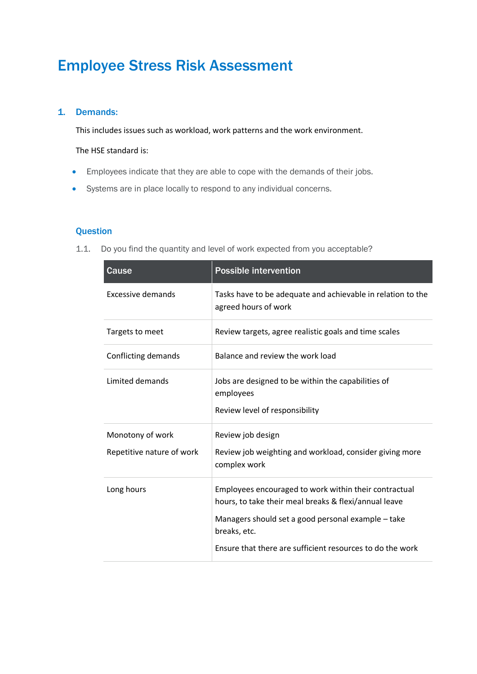## Employee Stress Risk Assessment

## 1. Demands:

This includes issues such as workload, work patterns and the work environment.

The HSE standard is:

- Employees indicate that they are able to cope with the demands of their jobs.
- Systems are in place locally to respond to any individual concerns.

## **Question**

1.1. Do you find the quantity and level of work expected from you acceptable?

| Cause                                         | <b>Possible intervention</b>                                                                                                                                                                                                                      |
|-----------------------------------------------|---------------------------------------------------------------------------------------------------------------------------------------------------------------------------------------------------------------------------------------------------|
| <b>Excessive demands</b>                      | Tasks have to be adequate and achievable in relation to the<br>agreed hours of work                                                                                                                                                               |
| Targets to meet                               | Review targets, agree realistic goals and time scales                                                                                                                                                                                             |
| Conflicting demands                           | Balance and review the work load                                                                                                                                                                                                                  |
| Limited demands                               | Jobs are designed to be within the capabilities of<br>employees<br>Review level of responsibility                                                                                                                                                 |
| Monotony of work<br>Repetitive nature of work | Review job design<br>Review job weighting and workload, consider giving more<br>complex work                                                                                                                                                      |
| Long hours                                    | Employees encouraged to work within their contractual<br>hours, to take their meal breaks & flexi/annual leave<br>Managers should set a good personal example - take<br>breaks, etc.<br>Ensure that there are sufficient resources to do the work |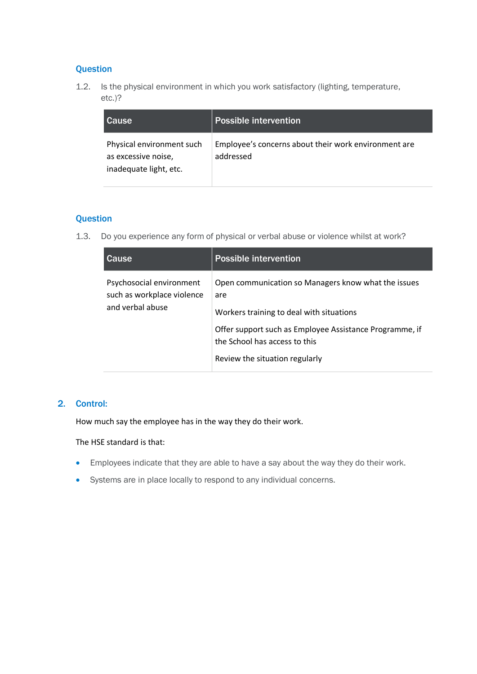## **Question**

1.2. Is the physical environment in which you work satisfactory (lighting, temperature, etc.)?

| <b>Cause</b>                                                               | Possible intervention                                             |
|----------------------------------------------------------------------------|-------------------------------------------------------------------|
| Physical environment such<br>as excessive noise,<br>inadequate light, etc. | Employee's concerns about their work environment are<br>addressed |

## **Question**

1.3. Do you experience any form of physical or verbal abuse or violence whilst at work?

| Cause                                                                      | <b>Possible intervention</b>                                                                                                                                                                                                         |
|----------------------------------------------------------------------------|--------------------------------------------------------------------------------------------------------------------------------------------------------------------------------------------------------------------------------------|
| Psychosocial environment<br>such as workplace violence<br>and verbal abuse | Open communication so Managers know what the issues<br>are<br>Workers training to deal with situations<br>Offer support such as Employee Assistance Programme, if<br>the School has access to this<br>Review the situation regularly |

## 2. Control:

How much say the employee has in the way they do their work.

The HSE standard is that:

- Employees indicate that they are able to have a say about the way they do their work.
- Systems are in place locally to respond to any individual concerns.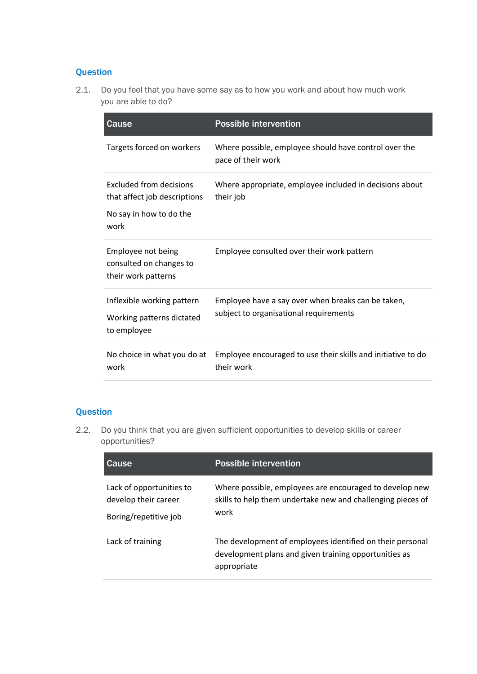## **Question**

2.1. Do you feel that you have some say as to how you work and about how much work you are able to do?

| Cause                                                                                      | <b>Possible intervention</b>                                                                 |
|--------------------------------------------------------------------------------------------|----------------------------------------------------------------------------------------------|
| Targets forced on workers                                                                  | Where possible, employee should have control over the<br>pace of their work                  |
| Excluded from decisions<br>that affect job descriptions<br>No say in how to do the<br>work | Where appropriate, employee included in decisions about<br>their job                         |
| Employee not being<br>consulted on changes to<br>their work patterns                       | Employee consulted over their work pattern                                                   |
| Inflexible working pattern<br>Working patterns dictated<br>to employee                     | Employee have a say over when breaks can be taken,<br>subject to organisational requirements |
| No choice in what you do at<br>work                                                        | Employee encouraged to use their skills and initiative to do<br>their work                   |

## **Question**

2.2. Do you think that you are given sufficient opportunities to develop skills or career opportunities?

| Cause                                                                     | <b>Possible intervention</b>                                                                                                      |
|---------------------------------------------------------------------------|-----------------------------------------------------------------------------------------------------------------------------------|
| Lack of opportunities to<br>develop their career<br>Boring/repetitive job | Where possible, employees are encouraged to develop new<br>skills to help them undertake new and challenging pieces of<br>work    |
| Lack of training                                                          | The development of employees identified on their personal<br>development plans and given training opportunities as<br>appropriate |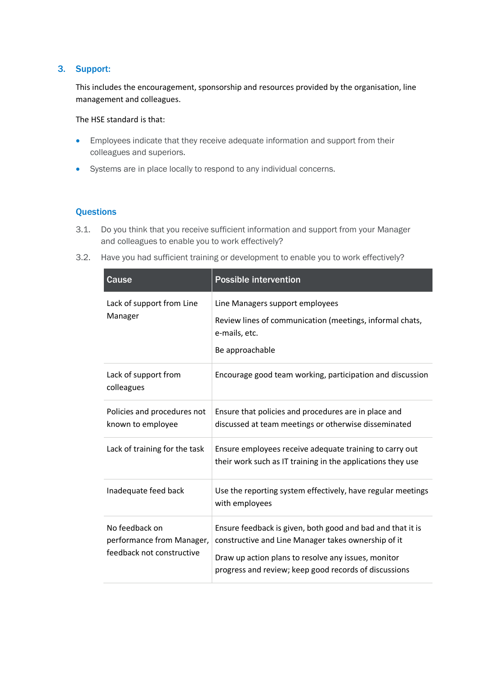## 3. Support:

This includes the encouragement, sponsorship and resources provided by the organisation, line management and colleagues.

The HSE standard is that:

- Employees indicate that they receive adequate information and support from their colleagues and superiors.
- Systems are in place locally to respond to any individual concerns.

- 3.1. Do you think that you receive sufficient information and support from your Manager and colleagues to enable you to work effectively?
- 3.2. Have you had sufficient training or development to enable you to work effectively?

| Cause                                                                    | <b>Possible intervention</b>                                                                                                                                                                                                      |
|--------------------------------------------------------------------------|-----------------------------------------------------------------------------------------------------------------------------------------------------------------------------------------------------------------------------------|
| Lack of support from Line<br>Manager                                     | Line Managers support employees<br>Review lines of communication (meetings, informal chats,<br>e-mails, etc.<br>Be approachable                                                                                                   |
| Lack of support from<br>colleagues                                       | Encourage good team working, participation and discussion                                                                                                                                                                         |
| Policies and procedures not<br>known to employee                         | Ensure that policies and procedures are in place and<br>discussed at team meetings or otherwise disseminated                                                                                                                      |
| Lack of training for the task                                            | Ensure employees receive adequate training to carry out<br>their work such as IT training in the applications they use                                                                                                            |
| Inadequate feed back                                                     | Use the reporting system effectively, have regular meetings<br>with employees                                                                                                                                                     |
| No feedback on<br>performance from Manager,<br>feedback not constructive | Ensure feedback is given, both good and bad and that it is<br>constructive and Line Manager takes ownership of it<br>Draw up action plans to resolve any issues, monitor<br>progress and review; keep good records of discussions |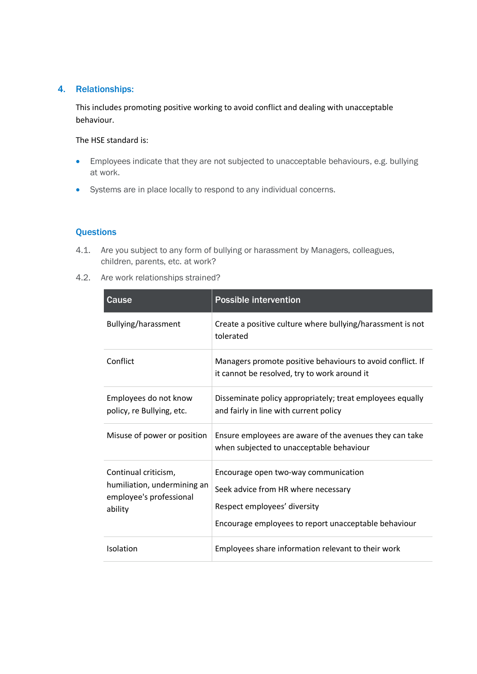## 4. Relationships:

This includes promoting positive working to avoid conflict and dealing with unacceptable behaviour.

The HSE standard is:

- Employees indicate that they are not subjected to unacceptable behaviours, e.g. bullying at work.
- Systems are in place locally to respond to any individual concerns.

- 4.1. Are you subject to any form of bullying or harassment by Managers, colleagues, children, parents, etc. at work?
- 4.2. Are work relationships strained?

| Cause                                                                                     | <b>Possible intervention</b>                                                                                                                                        |
|-------------------------------------------------------------------------------------------|---------------------------------------------------------------------------------------------------------------------------------------------------------------------|
| Bullying/harassment                                                                       | Create a positive culture where bullying/harassment is not<br>tolerated                                                                                             |
| Conflict                                                                                  | Managers promote positive behaviours to avoid conflict. If<br>it cannot be resolved, try to work around it                                                          |
| Employees do not know<br>policy, re Bullying, etc.                                        | Disseminate policy appropriately; treat employees equally<br>and fairly in line with current policy                                                                 |
| Misuse of power or position                                                               | Ensure employees are aware of the avenues they can take<br>when subjected to unacceptable behaviour                                                                 |
| Continual criticism,<br>humiliation, undermining an<br>employee's professional<br>ability | Encourage open two-way communication<br>Seek advice from HR where necessary<br>Respect employees' diversity<br>Encourage employees to report unacceptable behaviour |
| Isolation                                                                                 | Employees share information relevant to their work                                                                                                                  |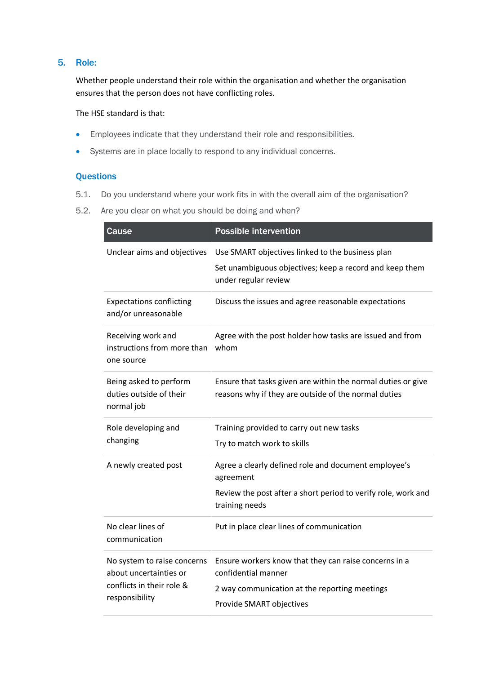## 5. Role:

Whether people understand their role within the organisation and whether the organisation ensures that the person does not have conflicting roles.

The HSE standard is that:

- Employees indicate that they understand their role and responsibilities.
- Systems are in place locally to respond to any individual concerns.

- 5.1. Do you understand where your work fits in with the overall aim of the organisation?
- 5.2. Are you clear on what you should be doing and when?

| Cause                                                                                                | <b>Possible intervention</b>                                                                                                                              |
|------------------------------------------------------------------------------------------------------|-----------------------------------------------------------------------------------------------------------------------------------------------------------|
| Unclear aims and objectives                                                                          | Use SMART objectives linked to the business plan<br>Set unambiguous objectives; keep a record and keep them<br>under regular review                       |
| <b>Expectations conflicting</b><br>and/or unreasonable                                               | Discuss the issues and agree reasonable expectations                                                                                                      |
| Receiving work and<br>instructions from more than<br>one source                                      | Agree with the post holder how tasks are issued and from<br>whom                                                                                          |
| Being asked to perform<br>duties outside of their<br>normal job                                      | Ensure that tasks given are within the normal duties or give<br>reasons why if they are outside of the normal duties                                      |
| Role developing and<br>changing                                                                      | Training provided to carry out new tasks<br>Try to match work to skills                                                                                   |
| A newly created post                                                                                 | Agree a clearly defined role and document employee's<br>agreement<br>Review the post after a short period to verify role, work and<br>training needs      |
| No clear lines of<br>communication                                                                   | Put in place clear lines of communication                                                                                                                 |
| No system to raise concerns<br>about uncertainties or<br>conflicts in their role &<br>responsibility | Ensure workers know that they can raise concerns in a<br>confidential manner<br>2 way communication at the reporting meetings<br>Provide SMART objectives |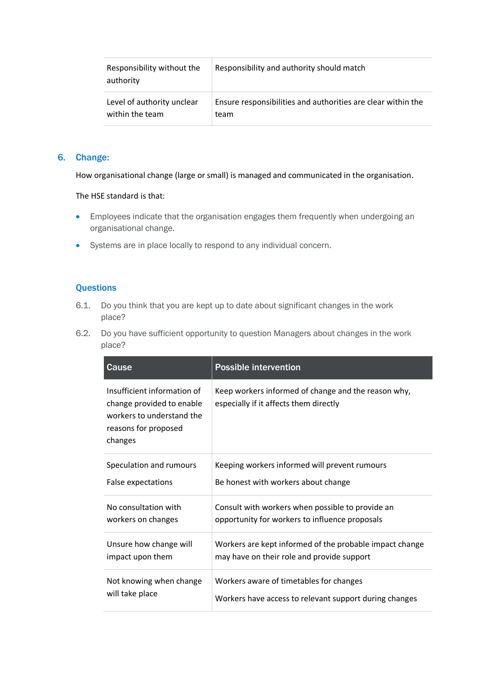| Responsibility without the<br>authority | Responsibility and authority should match                    |
|-----------------------------------------|--------------------------------------------------------------|
| Level of authority unclear              | Ensure responsibilities and authorities are clear within the |
| within the team                         | team                                                         |

## 6. Change:

How organisational change (large or small) is managed and communicated in the organisation.

#### The HSE standard is that:

- Employees indicate that the organisation engages them frequently when undergoing an organisational change.
- Systems are in place locally to respond to any individual concern.

- 6.1. Do you think that you are kept up to date about significant changes in the work place?
- 6.2. Do you have sufficient opportunity to question Managers about changes in the work place?

| Cause                                                                                                                    | <b>Possible intervention</b>                                                                          |
|--------------------------------------------------------------------------------------------------------------------------|-------------------------------------------------------------------------------------------------------|
| Insufficient information of<br>change provided to enable<br>workers to understand the<br>reasons for proposed<br>changes | Keep workers informed of change and the reason why,<br>especially if it affects them directly         |
| Speculation and rumours                                                                                                  | Keeping workers informed will prevent rumours                                                         |
| False expectations                                                                                                       | Be honest with workers about change                                                                   |
| No consultation with                                                                                                     | Consult with workers when possible to provide an                                                      |
| workers on changes                                                                                                       | opportunity for workers to influence proposals                                                        |
| Unsure how change will<br>impact upon them                                                                               | Workers are kept informed of the probable impact change<br>may have on their role and provide support |
| Not knowing when change<br>will take place                                                                               | Workers aware of timetables for changes<br>Workers have access to relevant support during changes     |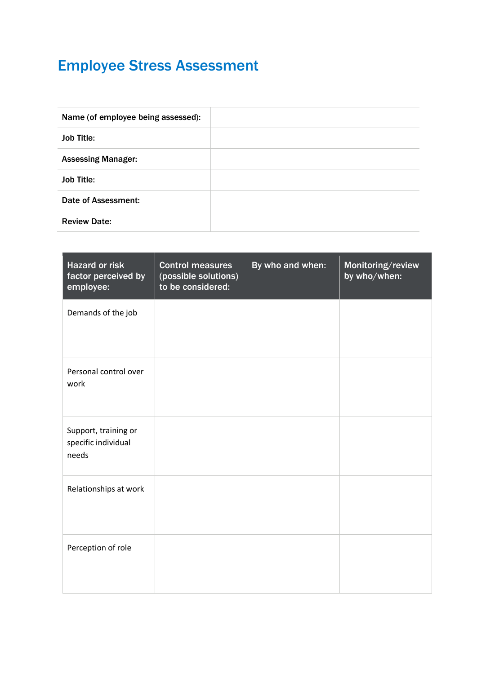# Employee Stress Assessment

| Name (of employee being assessed): |  |
|------------------------------------|--|
| <b>Job Title:</b>                  |  |
| <b>Assessing Manager:</b>          |  |
| <b>Job Title:</b>                  |  |
| <b>Date of Assessment:</b>         |  |
| <b>Review Date:</b>                |  |

| <b>Hazard or risk</b><br>factor perceived by<br>employee: | <b>Control measures</b><br>(possible solutions)<br>to be considered: | By who and when: | Monitoring/review<br>by who/when: |
|-----------------------------------------------------------|----------------------------------------------------------------------|------------------|-----------------------------------|
| Demands of the job                                        |                                                                      |                  |                                   |
| Personal control over<br>work                             |                                                                      |                  |                                   |
| Support, training or<br>specific individual<br>needs      |                                                                      |                  |                                   |
| Relationships at work                                     |                                                                      |                  |                                   |
| Perception of role                                        |                                                                      |                  |                                   |